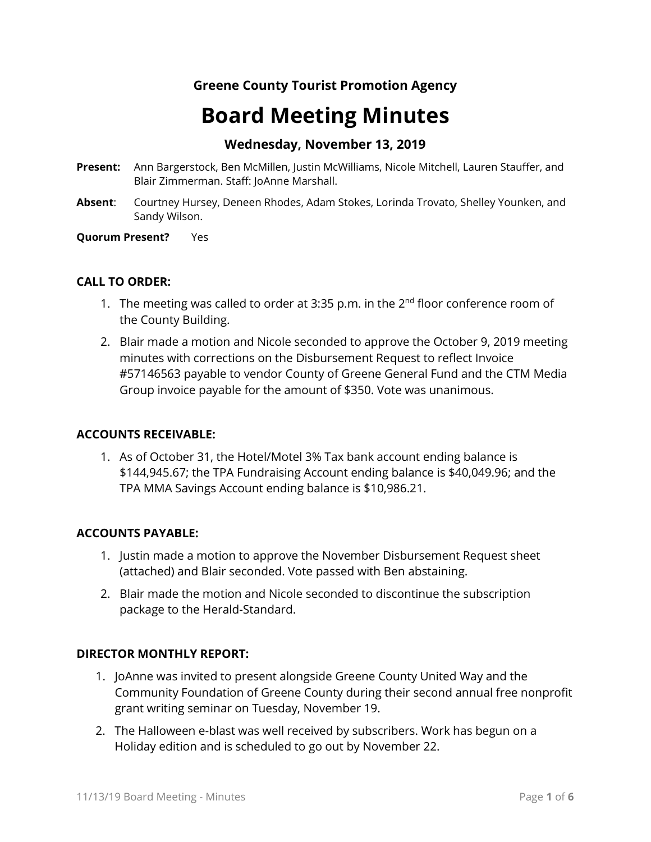# **Board Meeting Minutes**

## **Wednesday, November 13, 2019**

- **Present:** Ann Bargerstock, Ben McMillen, Justin McWilliams, Nicole Mitchell, Lauren Stauffer, and Blair Zimmerman. Staff: JoAnne Marshall.
- **Absent**: Courtney Hursey, Deneen Rhodes, Adam Stokes, Lorinda Trovato, Shelley Younken, and Sandy Wilson.

#### **Quorum Present?** Yes

#### **CALL TO ORDER:**

- 1. The meeting was called to order at 3:35 p.m. in the  $2<sup>nd</sup>$  floor conference room of the County Building.
- 2. Blair made a motion and Nicole seconded to approve the October 9, 2019 meeting minutes with corrections on the Disbursement Request to reflect Invoice #57146563 payable to vendor County of Greene General Fund and the CTM Media Group invoice payable for the amount of \$350. Vote was unanimous.

#### **ACCOUNTS RECEIVABLE:**

1. As of October 31, the Hotel/Motel 3% Tax bank account ending balance is \$144,945.67; the TPA Fundraising Account ending balance is \$40,049.96; and the TPA MMA Savings Account ending balance is \$10,986.21.

#### **ACCOUNTS PAYABLE:**

- 1. Justin made a motion to approve the November Disbursement Request sheet (attached) and Blair seconded. Vote passed with Ben abstaining.
- 2. Blair made the motion and Nicole seconded to discontinue the subscription package to the Herald-Standard.

#### **DIRECTOR MONTHLY REPORT:**

- 1. JoAnne was invited to present alongside Greene County United Way and the Community Foundation of Greene County during their second annual free nonprofit grant writing seminar on Tuesday, November 19.
- 2. The Halloween e-blast was well received by subscribers. Work has begun on a Holiday edition and is scheduled to go out by November 22.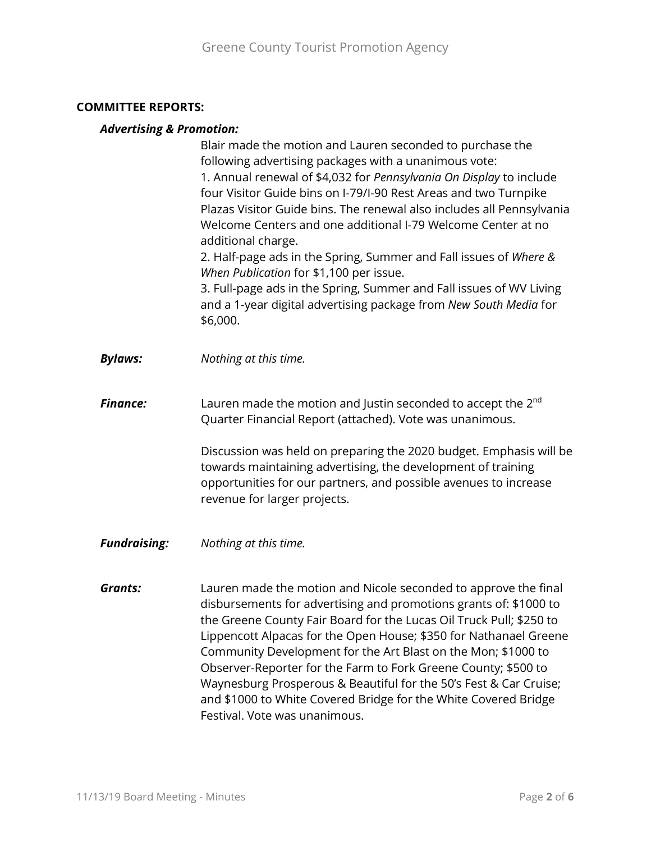#### **COMMITTEE REPORTS:**

#### *Advertising & Promotion:*

Blair made the motion and Lauren seconded to purchase the following advertising packages with a unanimous vote: 1. Annual renewal of \$4,032 for *Pennsylvania On Display* to include four Visitor Guide bins on I-79/I-90 Rest Areas and two Turnpike Plazas Visitor Guide bins. The renewal also includes all Pennsylvania Welcome Centers and one additional I-79 Welcome Center at no additional charge. 2. Half-page ads in the Spring, Summer and Fall issues of *Where &* 

*When Publication* for \$1,100 per issue.

3. Full-page ads in the Spring, Summer and Fall issues of WV Living and a 1-year digital advertising package from *New South Media* for \$6,000.

*Bylaws: Nothing at this time.*

**Finance:** Lauren made the motion and Justin seconded to accept the 2<sup>nd</sup> Quarter Financial Report (attached). Vote was unanimous.

> Discussion was held on preparing the 2020 budget. Emphasis will be towards maintaining advertising, the development of training opportunities for our partners, and possible avenues to increase revenue for larger projects.

*Fundraising: Nothing at this time.*

*Grants:* Lauren made the motion and Nicole seconded to approve the final disbursements for advertising and promotions grants of: \$1000 to the Greene County Fair Board for the Lucas Oil Truck Pull; \$250 to Lippencott Alpacas for the Open House; \$350 for Nathanael Greene Community Development for the Art Blast on the Mon; \$1000 to Observer-Reporter for the Farm to Fork Greene County; \$500 to Waynesburg Prosperous & Beautiful for the 50's Fest & Car Cruise; and \$1000 to White Covered Bridge for the White Covered Bridge Festival. Vote was unanimous.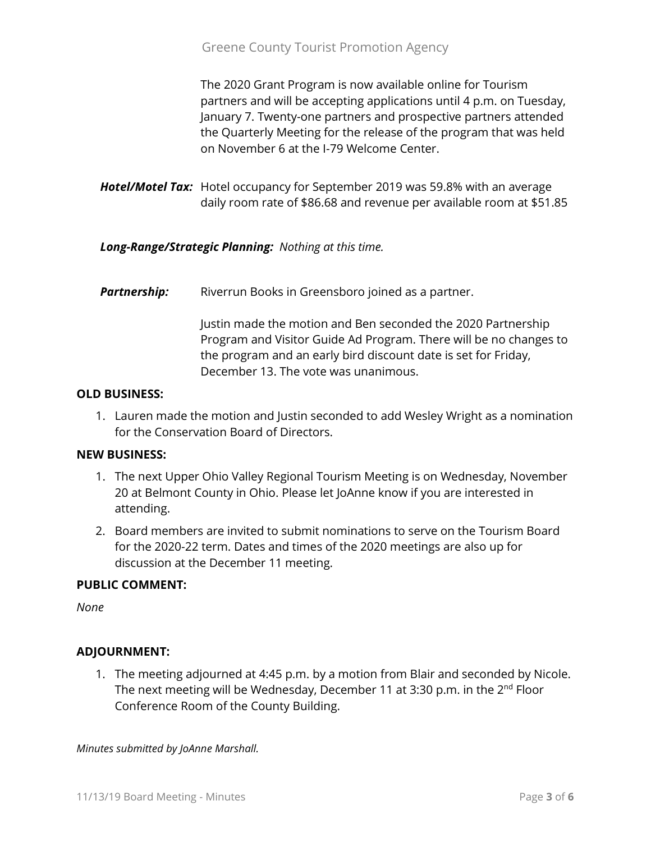The 2020 Grant Program is now available online for Tourism partners and will be accepting applications until 4 p.m. on Tuesday, January 7. Twenty-one partners and prospective partners attended the Quarterly Meeting for the release of the program that was held on November 6 at the I-79 Welcome Center.

*Hotel/Motel Tax:* Hotel occupancy for September 2019 was 59.8% with an average daily room rate of \$86.68 and revenue per available room at \$51.85

*Long-Range/Strategic Planning: Nothing at this time.*

**Partnership:** Riverrun Books in Greensboro joined as a partner.

Justin made the motion and Ben seconded the 2020 Partnership Program and Visitor Guide Ad Program. There will be no changes to the program and an early bird discount date is set for Friday, December 13. The vote was unanimous.

#### **OLD BUSINESS:**

1. Lauren made the motion and Justin seconded to add Wesley Wright as a nomination for the Conservation Board of Directors.

#### **NEW BUSINESS:**

- 1. The next Upper Ohio Valley Regional Tourism Meeting is on Wednesday, November 20 at Belmont County in Ohio. Please let JoAnne know if you are interested in attending.
- 2. Board members are invited to submit nominations to serve on the Tourism Board for the 2020-22 term. Dates and times of the 2020 meetings are also up for discussion at the December 11 meeting.

## **PUBLIC COMMENT:**

*None*

## **ADJOURNMENT:**

1. The meeting adjourned at 4:45 p.m. by a motion from Blair and seconded by Nicole. The next meeting will be Wednesday, December 11 at 3:30 p.m. in the 2<sup>nd</sup> Floor Conference Room of the County Building.

*Minutes submitted by JoAnne Marshall.*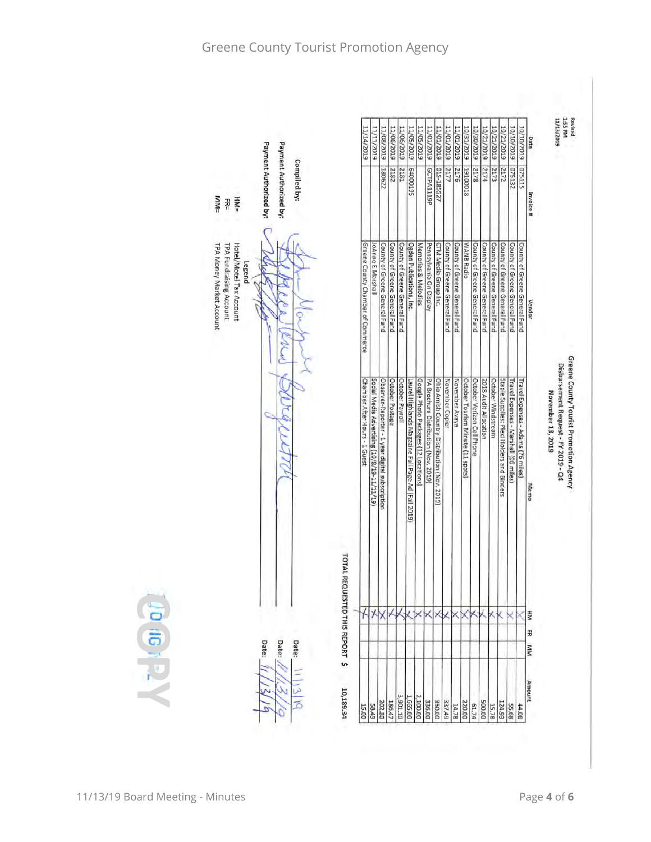|                                                                                          |                                                                  | 11/14/2019                                | 11/11/2019                                  | 11/08/2015                                                         | 11/06/2019<br>EL05/2019       | 11/05/2019                                         | 6T02/S0/TT                           | 11/01/2019                                                                          | 11/01/2019<br>11/01/2013      | 11/01/2019                    | 10/31/2019                        | 610Z/0E/01                    | 10/21/2019                    | 10/21/2019                    | 6102/01/01<br>6102/12/01                                                            | 10/10/2019                         | Date                  |
|------------------------------------------------------------------------------------------|------------------------------------------------------------------|-------------------------------------------|---------------------------------------------|--------------------------------------------------------------------|-------------------------------|----------------------------------------------------|--------------------------------------|-------------------------------------------------------------------------------------|-------------------------------|-------------------------------|-----------------------------------|-------------------------------|-------------------------------|-------------------------------|-------------------------------------------------------------------------------------|------------------------------------|-----------------------|
| <b>MM=</b><br><b>HM=</b><br>FR=                                                          | Payment Authorized by:<br>Payment Authorized by:<br>Compiled by: |                                           |                                             | 180622                                                             | 2182<br>2181                  | S61000193                                          |                                      | GCTPA1119P                                                                          | LZ5581-510<br>2177            | 2176                          | 81000161                          | 2178                          | 2174                          | 2173                          | 075132<br>2172                                                                      | 075115                             | Invoice#              |
| Hotel/Motel Tax Account<br>TPA Money Market Account<br>TPA Fundraising Account<br>Legend |                                                                  | Greene County Chamber of Commerce         | JoAnne E Marshall                           | County of Greene General Fund<br>County of Greene General Fund     | County of Greene General Fund | Ogden Publications, Inc.                           | Memories & Melodies                  | Pennsylvania On Display<br>CTM Media Group Inc.                                     | County of Greene General Fund | County of Greene General Fund | WANB Radio                        | County of Greene General Fund | County of Greene General Fund | County of Greene General Fund | County of Greene General Fund<br>County of Greene General Fund                      | County of Greene General Fund      | Vendor                |
|                                                                                          |                                                                  | Chamber After Hours - 1 Guest             | Social Media Advertising (10/8/19-11/11/19) | October Postage<br>Observer-Reporter - 1 year digital subscription | October Payroll               | Laurel Highlands Magazine Full Page Ad (Fall 2019) | Google Photo Packages (12 Locations) | PA Brochure Distribution (Nov. 2019)<br>Ohio Amish Country Distribution (Nov. 2019) | November Copier               | November Avaya                | October Tourism Minute (11 spots) | October Verizon Cell Phone    | 2018 Audit Allocation         | October Windstream            | Staple Supplies: Plexi Holders and Binders<br>Travel Expenses - Marshall (96 miles) | Travel Expenses - Adams (76 miles) | Memo                  |
|                                                                                          | Date:<br>Date:<br>Date:                                          | TOTAL REQUESTED THIS REPORT \$<br>$\star$ |                                             |                                                                    | XXXXX                         |                                                    |                                      |                                                                                     | XXXXXX                        |                               |                                   |                               |                               | ×к                            |                                                                                     |                                    | Į<br>31<br><b>KIM</b> |
|                                                                                          |                                                                  | 10,189.34<br>15.00                        | 58.49                                       | 186.47<br>202.80                                                   | 3,901.10                      | 1,665.00                                           | 2,100.00                             | 350.00                                                                              |                               | 14.78                         | 220.00                            | 61.74                         | 500.00                        | 15.78                         | 124.93<br>55.68                                                                     | 44.08                              | Amount                |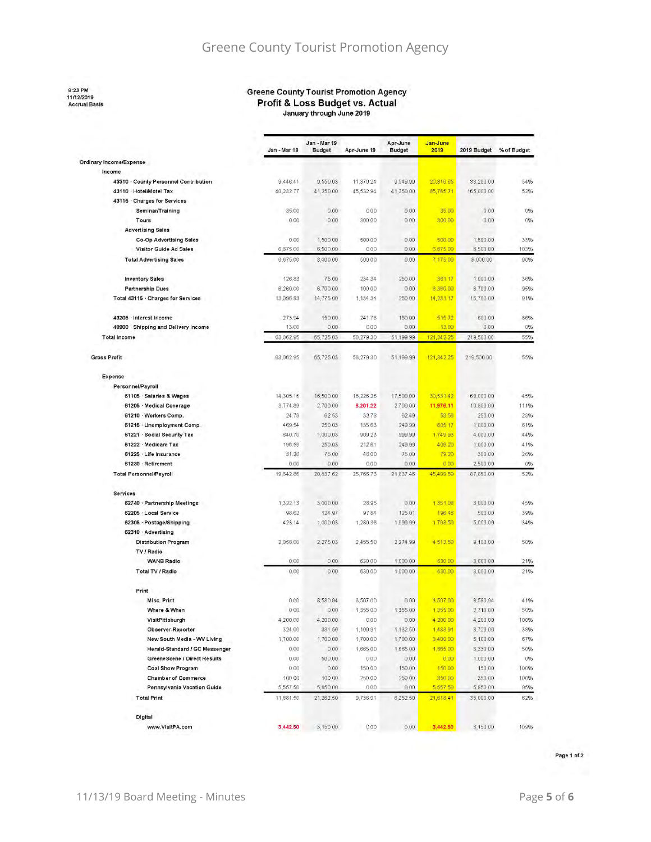8:23 PM<br>11/12/2019<br>Accrual Basis

#### **Greene County Tourist Promotion Agency** Profit & Loss Budget vs. Actual January through June 2019

|                                       | Jan - Mar 19 | Jan - Mar 19<br><b>Budget</b> | Apr-June 19 | Apr-June<br><b>Budget</b> | Jan-June<br>2019 | 2019 Budget | % of Budget |  |  |  |
|---------------------------------------|--------------|-------------------------------|-------------|---------------------------|------------------|-------------|-------------|--|--|--|
| Ordinary Income/Expense               |              |                               |             |                           |                  |             |             |  |  |  |
| Income                                |              |                               |             |                           |                  |             |             |  |  |  |
| 43310 · County Personnel Contribution | 9,446.41     | 9,550.03                      | 11,370.24   | 9,549.99                  | 20,816.65        | 38,200.00   | 54%         |  |  |  |
| 43110 · Hotel/Motel Tax               | 40,23277     | 41.250.00                     | 45,532.94   | 41,250.00                 | 85,765.71        | 165,000.00  | 52%         |  |  |  |
| 43115 · Charges for Services          |              |                               |             |                           |                  |             |             |  |  |  |
| Seminar/Training                      | 35.00        | 0.00                          | 000         | 0.00                      | 35.00            | 0.00        | 0%          |  |  |  |
| Tours                                 | 0.00         | 0.00                          | 300 00      | 0.00                      | 300.00           | 0.00        | 0%          |  |  |  |
| <b>Advertising Sales</b>              |              |                               |             |                           |                  |             |             |  |  |  |
| <b>Co-Op Advertising Sales</b>        | 0.00         | 1,500.00                      | 500.00      | 0.00                      | 500.00           | 1,500.00    | 33%         |  |  |  |
| Visitor Guide Ad Sales                | 6,675.00     | 6,500.00                      | 0.00        | 0.00                      | 6,675.00         | 6,500.00    | 103%        |  |  |  |
| <b>Total Advertising Sales</b>        | 6,675.00     | 8,000.00                      | 500 00      | 0.00                      | 7,175.00         | 8,000.00    | 90%         |  |  |  |
| <b>Inventory Sales</b>                | 126.83       | 75.00                         | 234.34      | 250.00                    | 361.17           | 1,000.00    | 36%         |  |  |  |
| <b>Partnership Dues</b>               | 6,260.00     | 6,700.00                      | 100.00      | 0.00                      | 6,360.00         | 6,700.00    | 95%         |  |  |  |
| Total 43115 · Charges for Services    | 13,096.83    | 14,775.00                     | 1,134.34    | 250.00                    | 14,231.17        | 15,700.00   | 91%         |  |  |  |
| 43205 · Interest Income               | 273.94       | 150.00                        | 24178       | 150.00                    | 51572            | 600 00      | 86%         |  |  |  |
| 48900 · Shipping and Delivery Income  | 13.00        | 0.00                          | 0.00        | 0.00                      | 13.00            | 0.00        | 0%          |  |  |  |
| <b>Total Income</b>                   | 63,062.95    | 65,725.03                     | 58,279.30   | 51,199.99                 | 121,342.25       | 219,500.00  | 55%         |  |  |  |
| <b>Gross Profit</b>                   | 63,062.95    | 65,725.03                     | 58,279 30   | 51,199.99                 | 121,342.25       | 219,500.00  | 55%         |  |  |  |
| Expense                               |              |                               |             |                           |                  |             |             |  |  |  |
| Personnel/Payroll                     |              |                               |             |                           |                  |             |             |  |  |  |
| 61106 · Salaries & Wages              | 14,305.16    | 16,500.00                     | 16,226.26   | 17,500.00                 | 30,531.42        | 68,000 00   | 45%         |  |  |  |
| 61205 Medical Coverage                | 3,774.89     | 2,700.00                      | 8,201.22    | 2,700.00                  | 11.976.11        | 10,800.00   | 111%        |  |  |  |
| 61210 · Workers Comp.                 | 24.78        | 62 53                         | 33.78       | 6249                      | 58.56            | 250 00      | 23%         |  |  |  |
| 61216 · Unemployment Comp.            | 469.54       | 250.03                        | 135.63      | 249.99                    | 605.17           | 1,000 00    | 61%         |  |  |  |
| 61221 · Social Security Tax           | 840.70       | 1,000.03                      | 909.23      | 999.99                    | 1,749.93         | 4,000.00    | 44%         |  |  |  |
| 61222 Medicare Tax                    | 196.59       | 250 03                        | 212.61      | 249.99                    | 409.20           | 1,000.00    | 41%         |  |  |  |
| 61225 · Life Insurance                | 31.20        | 75:00                         | 48.00       | 75.00                     | 79.20            | 300.00      | 26%         |  |  |  |
| 61230 · Retirement                    | 0.00         | 0.00                          | 0.00        | 0.00                      | 0.00             | 2,500.00    | 0%          |  |  |  |
| <b>Total Personnel/Payroll</b>        | 19,642.86    | 20,837.62                     | 25,766.73   | 21,837.46                 | 45,409.59        | 87,850.00   | 52%         |  |  |  |
| Services                              |              |                               |             |                           |                  |             |             |  |  |  |
| 62740 · Partnership Meetings          | 1,322.13     | 3,000 00                      | 28.95       | 0.00                      | 1,351.08         | 3,000 00    | 45%         |  |  |  |
| 62205 · Local Service                 | 98.62        | 124 97                        | 97.84       | 125.01                    | 196.46           | 500 00      | 39%         |  |  |  |
| 62305 - Postage/Shipping              | 423.14       | 1,000.03                      | 1,280 36    | 1,999.99                  | 1,703.50         | 5,000.00    | 34%         |  |  |  |
| 62310 · Advertising                   |              |                               |             |                           |                  |             |             |  |  |  |
| <b>Distribution Program</b>           | 2,058.00     | 2,275.03                      | 2,455.50    | 2,274.99                  | 4,513.50         | 9,100.00    | 50%         |  |  |  |
| TV / Radio                            |              |                               |             |                           |                  |             |             |  |  |  |
| <b>WANB Radio</b>                     | 0,00         | 0.00                          | 630.00      | 1,000.00                  | 630 00           | 3,000 00    | 21%         |  |  |  |
| <b>Total TV / Radio</b>               | 0.00         | 000                           | 630.00      | 1,000.00                  | 630.00           | 3,000 00    | 21%         |  |  |  |
| Print                                 |              |                               |             |                           |                  |             |             |  |  |  |
| Misc. Print                           | 0.00         | 8,580.94                      | 3,507.00    | 0.00                      | 3,507.00         | 8,580.94    | 41%         |  |  |  |
| Where & When                          | 000          | 0,00                          | 1,355 00    | 1,355.00                  | 1,355.00         | 2,710.00    | 50%         |  |  |  |
| VisitPittsburgh                       | 4,200,00     | 4,200.00                      | 0.00        | 0.00                      | 4,200,00         | 4,200 00    | 100%        |  |  |  |
| Observer-Reporter                     | 324.00       | 331.56                        | 1,109.91    | 1,132 50                  | 1,433,91         | 3,729 06    | 38%         |  |  |  |
| New South Media - WV Living           | 1,700.00     | 1,700.00                      | 1,700.00    | 1,700.00                  | 3,400.00         | 5,100.00    | 67%         |  |  |  |
| Herald-Standard / GC Messenger        | 0,00         | 000                           | 1,665.00    | 1,665.00                  | 1,665.00         | 3,330 00    | 50%         |  |  |  |
| GreeneScene / Direct Results          | 0.00         | 500.00                        | 0.00        | 0.00                      | 0.00             | 1,000.00    | 0%          |  |  |  |
| <b>Coal Show Program</b>              | 0.00         | 0.00                          | 150.00      | 150.00                    | 150.00           | 150 00      | 100%        |  |  |  |
| <b>Chamber of Commerce</b>            | 100.00       | 100.00                        | 250.00      | 250.00                    | 350.00           | 350.00      | 100%        |  |  |  |
| Pennsylvania Vacation Guide           | 5,557 50     | 5,850.00                      | 0.00        | 0.00                      | 5,557.50         | 5,850 00    | 95%         |  |  |  |
| <b>Total Print</b>                    | 11,881.50    | 21,262.50                     | 9,736.91    | 6,252.50                  | 21,618.41        | 35,000.00   | 62%         |  |  |  |
| Digital                               |              |                               |             |                           |                  |             |             |  |  |  |
| www.VisitPA.com                       | 3,442.50     | 3,150 00                      | 0.00        | 0.00                      | 3,442.50         | 3,150 00    | 109%        |  |  |  |

Page 1 of 2